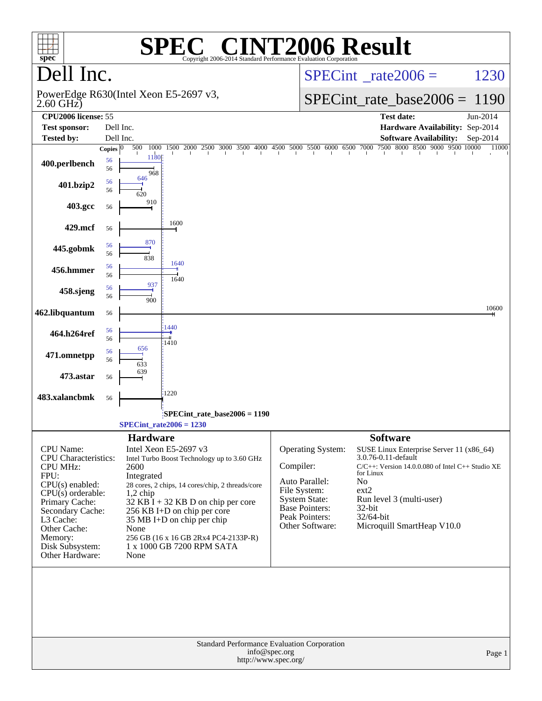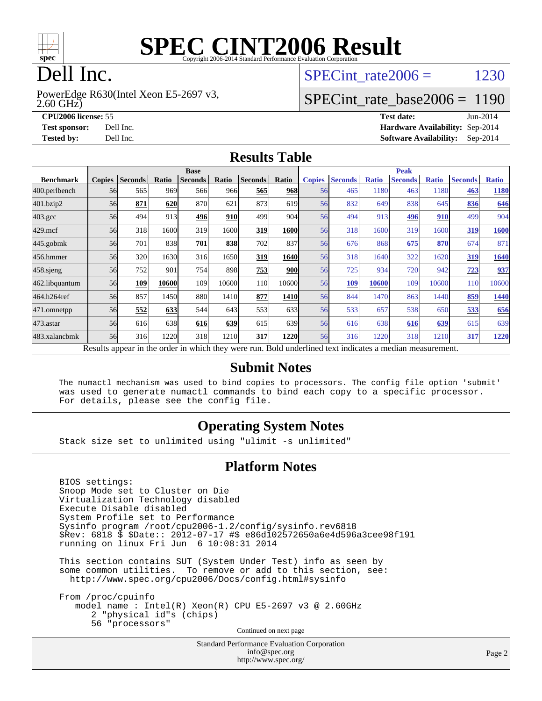

# Dell Inc.

2.60 GHz) PowerEdge R630(Intel Xeon E5-2697 v3, SPECint rate $2006 = 1230$ 

#### [SPECint\\_rate\\_base2006 =](http://www.spec.org/auto/cpu2006/Docs/result-fields.html#SPECintratebase2006) 1190

**[CPU2006 license:](http://www.spec.org/auto/cpu2006/Docs/result-fields.html#CPU2006license)** 55 **[Test date:](http://www.spec.org/auto/cpu2006/Docs/result-fields.html#Testdate)** Jun-2014 **[Test sponsor:](http://www.spec.org/auto/cpu2006/Docs/result-fields.html#Testsponsor)** Dell Inc. **[Hardware Availability:](http://www.spec.org/auto/cpu2006/Docs/result-fields.html#HardwareAvailability)** Sep-2014 **[Tested by:](http://www.spec.org/auto/cpu2006/Docs/result-fields.html#Testedby)** Dell Inc. **[Software Availability:](http://www.spec.org/auto/cpu2006/Docs/result-fields.html#SoftwareAvailability)** Sep-2014

#### **[Results Table](http://www.spec.org/auto/cpu2006/Docs/result-fields.html#ResultsTable)**

|                    | <b>Base</b>   |                |       |                                                                                                          |            |                |            | <b>Peak</b>   |                |              |                |              |                |              |
|--------------------|---------------|----------------|-------|----------------------------------------------------------------------------------------------------------|------------|----------------|------------|---------------|----------------|--------------|----------------|--------------|----------------|--------------|
| <b>Benchmark</b>   | <b>Copies</b> | <b>Seconds</b> | Ratio | <b>Seconds</b>                                                                                           | Ratio      | <b>Seconds</b> | Ratio      | <b>Copies</b> | <b>Seconds</b> | <b>Ratio</b> | <b>Seconds</b> | <b>Ratio</b> | <b>Seconds</b> | <b>Ratio</b> |
| 400.perlbench      | 56            | 565            | 969   | 566                                                                                                      | 966        | 565            | 968        | 56            | 465            | 1180         | 463            | 1180         | 463            | 1180         |
| 401.bzip2          | 56            | 871            | 620   | 870                                                                                                      | 621        | 873            | 619        | 56            | 832            | 649          | 838            | 645          | 836            | 646          |
| $403.\mathrm{gcc}$ | 56            | 494            | 913   | 496                                                                                                      | <b>910</b> | 499            | 904        | 56            | 494            | 913          | 496            | 910          | 499            | 904          |
| $429$ .mcf         | 56            | 318            | 1600  | 319                                                                                                      | 1600       | 319            | 1600l      | 56            | 318            | 1600         | 319            | 1600         | 319            | 1600         |
| $445$ .gobmk       | 56            | 701            | 838   | 701                                                                                                      | 838        | 702            | 837        | 56            | 676            | 868          | 675            | 870          | 674            | 871          |
| 456.hmmer          | 56            | 320            | 1630  | 316                                                                                                      | 1650       | 319            | 1640       | 56            | 318            | 1640         | 322            | 1620         | 319            | 1640         |
| $458$ .sjeng       | 56            | 752            | 901   | 754                                                                                                      | 898        | 753            | <b>900</b> | 56            | 725            | 934          | 720            | 942          | 723            | 937          |
| 462.libquantum     | 56            | 109            | 10600 | 109                                                                                                      | 10600      | 110            | 10600      | 56            | <u>109</u>     | 10600        | 109            | 10600        | 110            | 10600        |
| 464.h264ref        | 56            | 857            | 1450  | 880                                                                                                      | 1410       | 877            | 1410       | 56            | 844            | 1470         | 863            | 1440         | 859            | 1440         |
| 471.omnetpp        | 56            | 552            | 633   | 544                                                                                                      | 643        | 553            | 633        | 56            | 533            | 657          | 538            | 650          | 533            | 656          |
| $473$ . astar      | 56            | 616            | 638   | 616                                                                                                      | 639        | 615            | 639        | 56            | 616            | 638          | 616            | 639          | 615            | 639          |
| 483.xalancbmk      | 56            | 316            | 1220  | 318                                                                                                      | 1210       | 317            | 1220       | 56            | 316            | 1220         | 318            | 1210         | 317            | <u>1220</u>  |
|                    |               |                |       | Results appear in the order in which they were run. Bold underlined text indicates a median measurement. |            |                |            |               |                |              |                |              |                |              |

#### **[Submit Notes](http://www.spec.org/auto/cpu2006/Docs/result-fields.html#SubmitNotes)**

 The numactl mechanism was used to bind copies to processors. The config file option 'submit' was used to generate numactl commands to bind each copy to a specific processor. For details, please see the config file.

#### **[Operating System Notes](http://www.spec.org/auto/cpu2006/Docs/result-fields.html#OperatingSystemNotes)**

Stack size set to unlimited using "ulimit -s unlimited"

#### **[Platform Notes](http://www.spec.org/auto/cpu2006/Docs/result-fields.html#PlatformNotes)**

 BIOS settings: Snoop Mode set to Cluster on Die Virtualization Technology disabled Execute Disable disabled System Profile set to Performance Sysinfo program /root/cpu2006-1.2/config/sysinfo.rev6818 \$Rev: 6818 \$ \$Date:: 2012-07-17 #\$ e86d102572650a6e4d596a3cee98f191 running on linux Fri Jun 6 10:08:31 2014

 This section contains SUT (System Under Test) info as seen by some common utilities. To remove or add to this section, see: <http://www.spec.org/cpu2006/Docs/config.html#sysinfo>

 From /proc/cpuinfo model name : Intel(R) Xeon(R) CPU E5-2697 v3 @ 2.60GHz 2 "physical id"s (chips) 56 "processors" Continued on next page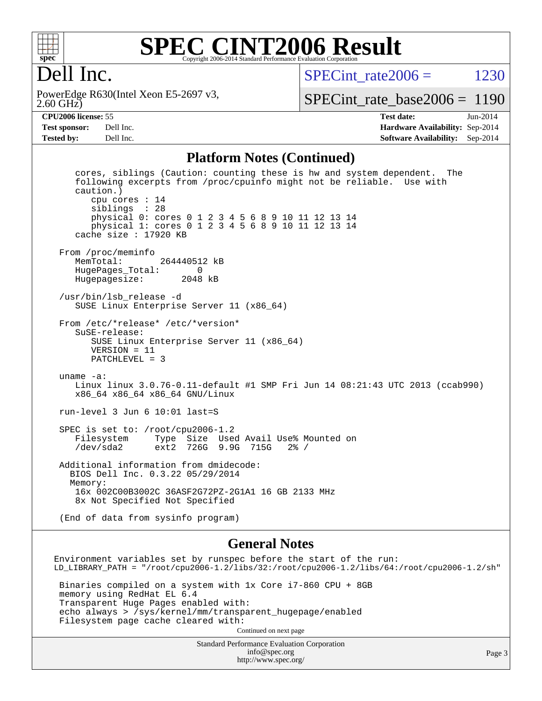

#### **[SPEC CINT2006 Result](http://www.spec.org/auto/cpu2006/Docs/result-fields.html#SPECCINT2006Result)** Copyright 2006-2014 Standard Performance Evaluation Corporation

## Dell Inc.

2.60 GHz) PowerEdge R630(Intel Xeon E5-2697 v3, SPECint rate $2006 = 1230$ 

[SPECint\\_rate\\_base2006 =](http://www.spec.org/auto/cpu2006/Docs/result-fields.html#SPECintratebase2006) 1190

**[CPU2006 license:](http://www.spec.org/auto/cpu2006/Docs/result-fields.html#CPU2006license)** 55 **[Test date:](http://www.spec.org/auto/cpu2006/Docs/result-fields.html#Testdate)** Jun-2014 **[Test sponsor:](http://www.spec.org/auto/cpu2006/Docs/result-fields.html#Testsponsor)** Dell Inc. **[Hardware Availability:](http://www.spec.org/auto/cpu2006/Docs/result-fields.html#HardwareAvailability)** Sep-2014 **[Tested by:](http://www.spec.org/auto/cpu2006/Docs/result-fields.html#Testedby)** Dell Inc. **[Software Availability:](http://www.spec.org/auto/cpu2006/Docs/result-fields.html#SoftwareAvailability)** Sep-2014

#### **[Platform Notes \(Continued\)](http://www.spec.org/auto/cpu2006/Docs/result-fields.html#PlatformNotes)**

 cores, siblings (Caution: counting these is hw and system dependent. The following excerpts from /proc/cpuinfo might not be reliable. Use with caution.) cpu cores : 14 siblings : 28 physical 0: cores 0 1 2 3 4 5 6 8 9 10 11 12 13 14 physical 1: cores 0 1 2 3 4 5 6 8 9 10 11 12 13 14 cache size : 17920 KB From /proc/meminfo<br>MemTotal: 264440512 kB HugePages\_Total: 0 Hugepagesize: 2048 kB /usr/bin/lsb\_release -d SUSE Linux Enterprise Server 11 (x86\_64) From /etc/\*release\* /etc/\*version\* SuSE-release: SUSE Linux Enterprise Server 11 (x86\_64) VERSION = 11 PATCHLEVEL = 3 uname -a: Linux linux 3.0.76-0.11-default #1 SMP Fri Jun 14 08:21:43 UTC 2013 (ccab990) x86\_64 x86\_64 x86\_64 GNU/Linux run-level 3 Jun 6 10:01 last=S SPEC is set to: /root/cpu2006-1.2 Filesystem Type Size Used Avail Use% Mounted on /dev/sda2 ext2 726G 9.9G 715G 2% / Additional information from dmidecode: BIOS Dell Inc. 0.3.22 05/29/2014 Memory: 16x 002C00B3002C 36ASF2G72PZ-2G1A1 16 GB 2133 MHz 8x Not Specified Not Specified (End of data from sysinfo program)

#### **[General Notes](http://www.spec.org/auto/cpu2006/Docs/result-fields.html#GeneralNotes)**

Environment variables set by runspec before the start of the run: LD\_LIBRARY\_PATH = "/root/cpu2006-1.2/libs/32:/root/cpu2006-1.2/libs/64:/root/cpu2006-1.2/sh" Binaries compiled on a system with 1x Core i7-860 CPU + 8GB memory using RedHat EL 6.4 Transparent Huge Pages enabled with: echo always > /sys/kernel/mm/transparent\_hugepage/enabled Filesystem page cache cleared with: Continued on next page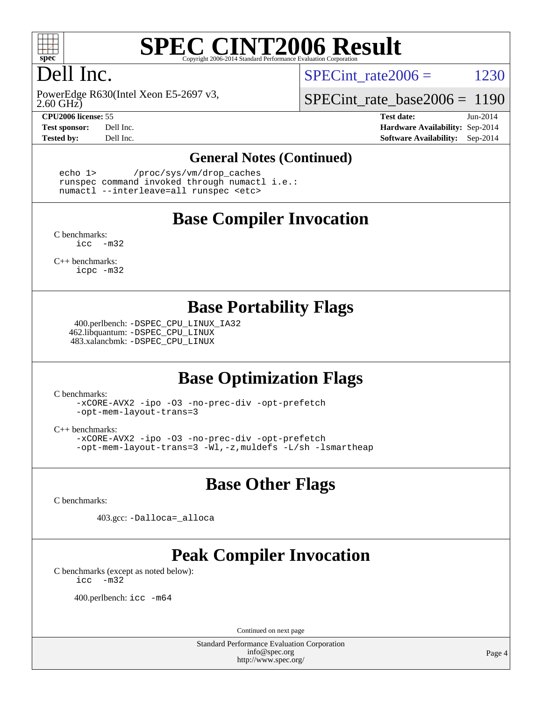

## Dell Inc.

2.60 GHz) PowerEdge R630(Intel Xeon E5-2697 v3,

SPECint rate $2006 = 1230$ 

[SPECint\\_rate\\_base2006 =](http://www.spec.org/auto/cpu2006/Docs/result-fields.html#SPECintratebase2006) 1190

**[CPU2006 license:](http://www.spec.org/auto/cpu2006/Docs/result-fields.html#CPU2006license)** 55 **[Test date:](http://www.spec.org/auto/cpu2006/Docs/result-fields.html#Testdate)** Jun-2014 **[Test sponsor:](http://www.spec.org/auto/cpu2006/Docs/result-fields.html#Testsponsor)** Dell Inc. **[Hardware Availability:](http://www.spec.org/auto/cpu2006/Docs/result-fields.html#HardwareAvailability)** Sep-2014 **[Tested by:](http://www.spec.org/auto/cpu2006/Docs/result-fields.html#Testedby)** Dell Inc. **[Software Availability:](http://www.spec.org/auto/cpu2006/Docs/result-fields.html#SoftwareAvailability)** Sep-2014

#### **[General Notes \(Continued\)](http://www.spec.org/auto/cpu2006/Docs/result-fields.html#GeneralNotes)**

 echo 1> /proc/sys/vm/drop\_caches runspec command invoked through numactl i.e.: numactl --interleave=all runspec <etc>

#### **[Base Compiler Invocation](http://www.spec.org/auto/cpu2006/Docs/result-fields.html#BaseCompilerInvocation)**

[C benchmarks](http://www.spec.org/auto/cpu2006/Docs/result-fields.html#Cbenchmarks): [icc -m32](http://www.spec.org/cpu2006/results/res2014q3/cpu2006-20140909-31341.flags.html#user_CCbase_intel_icc_5ff4a39e364c98233615fdd38438c6f2)

[C++ benchmarks:](http://www.spec.org/auto/cpu2006/Docs/result-fields.html#CXXbenchmarks) [icpc -m32](http://www.spec.org/cpu2006/results/res2014q3/cpu2006-20140909-31341.flags.html#user_CXXbase_intel_icpc_4e5a5ef1a53fd332b3c49e69c3330699)

#### **[Base Portability Flags](http://www.spec.org/auto/cpu2006/Docs/result-fields.html#BasePortabilityFlags)**

 400.perlbench: [-DSPEC\\_CPU\\_LINUX\\_IA32](http://www.spec.org/cpu2006/results/res2014q3/cpu2006-20140909-31341.flags.html#b400.perlbench_baseCPORTABILITY_DSPEC_CPU_LINUX_IA32) 462.libquantum: [-DSPEC\\_CPU\\_LINUX](http://www.spec.org/cpu2006/results/res2014q3/cpu2006-20140909-31341.flags.html#b462.libquantum_baseCPORTABILITY_DSPEC_CPU_LINUX) 483.xalancbmk: [-DSPEC\\_CPU\\_LINUX](http://www.spec.org/cpu2006/results/res2014q3/cpu2006-20140909-31341.flags.html#b483.xalancbmk_baseCXXPORTABILITY_DSPEC_CPU_LINUX)

## **[Base Optimization Flags](http://www.spec.org/auto/cpu2006/Docs/result-fields.html#BaseOptimizationFlags)**

[C benchmarks](http://www.spec.org/auto/cpu2006/Docs/result-fields.html#Cbenchmarks):

[-xCORE-AVX2](http://www.spec.org/cpu2006/results/res2014q3/cpu2006-20140909-31341.flags.html#user_CCbase_f-xAVX2_5f5fc0cbe2c9f62c816d3e45806c70d7) [-ipo](http://www.spec.org/cpu2006/results/res2014q3/cpu2006-20140909-31341.flags.html#user_CCbase_f-ipo) [-O3](http://www.spec.org/cpu2006/results/res2014q3/cpu2006-20140909-31341.flags.html#user_CCbase_f-O3) [-no-prec-div](http://www.spec.org/cpu2006/results/res2014q3/cpu2006-20140909-31341.flags.html#user_CCbase_f-no-prec-div) [-opt-prefetch](http://www.spec.org/cpu2006/results/res2014q3/cpu2006-20140909-31341.flags.html#user_CCbase_f-opt-prefetch) [-opt-mem-layout-trans=3](http://www.spec.org/cpu2006/results/res2014q3/cpu2006-20140909-31341.flags.html#user_CCbase_f-opt-mem-layout-trans_a7b82ad4bd7abf52556d4961a2ae94d5)

[C++ benchmarks:](http://www.spec.org/auto/cpu2006/Docs/result-fields.html#CXXbenchmarks)

[-xCORE-AVX2](http://www.spec.org/cpu2006/results/res2014q3/cpu2006-20140909-31341.flags.html#user_CXXbase_f-xAVX2_5f5fc0cbe2c9f62c816d3e45806c70d7) [-ipo](http://www.spec.org/cpu2006/results/res2014q3/cpu2006-20140909-31341.flags.html#user_CXXbase_f-ipo) [-O3](http://www.spec.org/cpu2006/results/res2014q3/cpu2006-20140909-31341.flags.html#user_CXXbase_f-O3) [-no-prec-div](http://www.spec.org/cpu2006/results/res2014q3/cpu2006-20140909-31341.flags.html#user_CXXbase_f-no-prec-div) [-opt-prefetch](http://www.spec.org/cpu2006/results/res2014q3/cpu2006-20140909-31341.flags.html#user_CXXbase_f-opt-prefetch) [-opt-mem-layout-trans=3](http://www.spec.org/cpu2006/results/res2014q3/cpu2006-20140909-31341.flags.html#user_CXXbase_f-opt-mem-layout-trans_a7b82ad4bd7abf52556d4961a2ae94d5) [-Wl,-z,muldefs](http://www.spec.org/cpu2006/results/res2014q3/cpu2006-20140909-31341.flags.html#user_CXXbase_link_force_multiple1_74079c344b956b9658436fd1b6dd3a8a) [-L/sh -lsmartheap](http://www.spec.org/cpu2006/results/res2014q3/cpu2006-20140909-31341.flags.html#user_CXXbase_SmartHeap_32f6c82aa1ed9c52345d30cf6e4a0499)

## **[Base Other Flags](http://www.spec.org/auto/cpu2006/Docs/result-fields.html#BaseOtherFlags)**

[C benchmarks](http://www.spec.org/auto/cpu2006/Docs/result-fields.html#Cbenchmarks):

403.gcc: [-Dalloca=\\_alloca](http://www.spec.org/cpu2006/results/res2014q3/cpu2006-20140909-31341.flags.html#b403.gcc_baseEXTRA_CFLAGS_Dalloca_be3056838c12de2578596ca5467af7f3)

# **[Peak Compiler Invocation](http://www.spec.org/auto/cpu2006/Docs/result-fields.html#PeakCompilerInvocation)**

[C benchmarks \(except as noted below\)](http://www.spec.org/auto/cpu2006/Docs/result-fields.html#Cbenchmarksexceptasnotedbelow): [icc -m32](http://www.spec.org/cpu2006/results/res2014q3/cpu2006-20140909-31341.flags.html#user_CCpeak_intel_icc_5ff4a39e364c98233615fdd38438c6f2)

400.perlbench: [icc -m64](http://www.spec.org/cpu2006/results/res2014q3/cpu2006-20140909-31341.flags.html#user_peakCCLD400_perlbench_intel_icc_64bit_bda6cc9af1fdbb0edc3795bac97ada53)

Continued on next page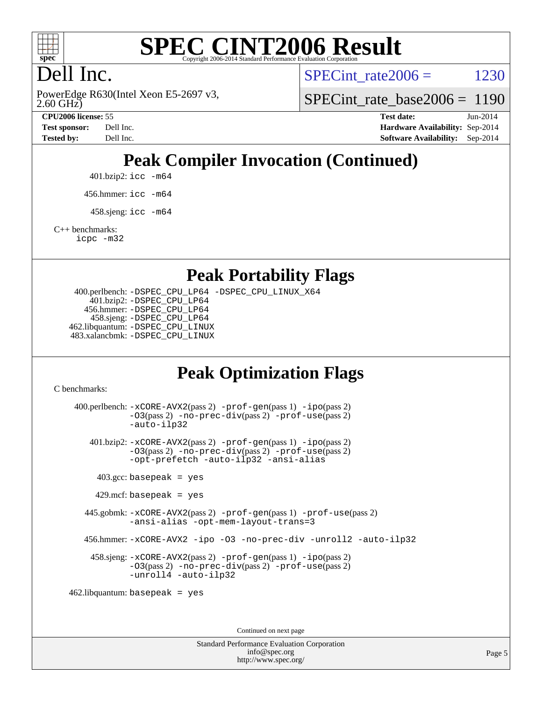

# Dell Inc.

2.60 GHz) PowerEdge R630(Intel Xeon E5-2697 v3, SPECint rate $2006 = 1230$ 

[SPECint\\_rate\\_base2006 =](http://www.spec.org/auto/cpu2006/Docs/result-fields.html#SPECintratebase2006) 1190

**[CPU2006 license:](http://www.spec.org/auto/cpu2006/Docs/result-fields.html#CPU2006license)** 55 **[Test date:](http://www.spec.org/auto/cpu2006/Docs/result-fields.html#Testdate)** Jun-2014 **[Test sponsor:](http://www.spec.org/auto/cpu2006/Docs/result-fields.html#Testsponsor)** Dell Inc. **[Hardware Availability:](http://www.spec.org/auto/cpu2006/Docs/result-fields.html#HardwareAvailability)** Sep-2014 **[Tested by:](http://www.spec.org/auto/cpu2006/Docs/result-fields.html#Testedby)** Dell Inc. **[Software Availability:](http://www.spec.org/auto/cpu2006/Docs/result-fields.html#SoftwareAvailability)** Sep-2014

# **[Peak Compiler Invocation \(Continued\)](http://www.spec.org/auto/cpu2006/Docs/result-fields.html#PeakCompilerInvocation)**

401.bzip2: [icc -m64](http://www.spec.org/cpu2006/results/res2014q3/cpu2006-20140909-31341.flags.html#user_peakCCLD401_bzip2_intel_icc_64bit_bda6cc9af1fdbb0edc3795bac97ada53)

456.hmmer: [icc -m64](http://www.spec.org/cpu2006/results/res2014q3/cpu2006-20140909-31341.flags.html#user_peakCCLD456_hmmer_intel_icc_64bit_bda6cc9af1fdbb0edc3795bac97ada53)

 $458 \text{.}$ sjeng: icc  $-\text{m64}$ 

[C++ benchmarks:](http://www.spec.org/auto/cpu2006/Docs/result-fields.html#CXXbenchmarks)

[icpc -m32](http://www.spec.org/cpu2006/results/res2014q3/cpu2006-20140909-31341.flags.html#user_CXXpeak_intel_icpc_4e5a5ef1a53fd332b3c49e69c3330699)

#### **[Peak Portability Flags](http://www.spec.org/auto/cpu2006/Docs/result-fields.html#PeakPortabilityFlags)**

 400.perlbench: [-DSPEC\\_CPU\\_LP64](http://www.spec.org/cpu2006/results/res2014q3/cpu2006-20140909-31341.flags.html#b400.perlbench_peakCPORTABILITY_DSPEC_CPU_LP64) [-DSPEC\\_CPU\\_LINUX\\_X64](http://www.spec.org/cpu2006/results/res2014q3/cpu2006-20140909-31341.flags.html#b400.perlbench_peakCPORTABILITY_DSPEC_CPU_LINUX_X64) 401.bzip2: [-DSPEC\\_CPU\\_LP64](http://www.spec.org/cpu2006/results/res2014q3/cpu2006-20140909-31341.flags.html#suite_peakCPORTABILITY401_bzip2_DSPEC_CPU_LP64) 456.hmmer: [-DSPEC\\_CPU\\_LP64](http://www.spec.org/cpu2006/results/res2014q3/cpu2006-20140909-31341.flags.html#suite_peakCPORTABILITY456_hmmer_DSPEC_CPU_LP64) 458.sjeng: [-DSPEC\\_CPU\\_LP64](http://www.spec.org/cpu2006/results/res2014q3/cpu2006-20140909-31341.flags.html#suite_peakCPORTABILITY458_sjeng_DSPEC_CPU_LP64) 462.libquantum: [-DSPEC\\_CPU\\_LINUX](http://www.spec.org/cpu2006/results/res2014q3/cpu2006-20140909-31341.flags.html#b462.libquantum_peakCPORTABILITY_DSPEC_CPU_LINUX) 483.xalancbmk: [-DSPEC\\_CPU\\_LINUX](http://www.spec.org/cpu2006/results/res2014q3/cpu2006-20140909-31341.flags.html#b483.xalancbmk_peakCXXPORTABILITY_DSPEC_CPU_LINUX)

## **[Peak Optimization Flags](http://www.spec.org/auto/cpu2006/Docs/result-fields.html#PeakOptimizationFlags)**

[C benchmarks](http://www.spec.org/auto/cpu2006/Docs/result-fields.html#Cbenchmarks):

 400.perlbench: [-xCORE-AVX2](http://www.spec.org/cpu2006/results/res2014q3/cpu2006-20140909-31341.flags.html#user_peakPASS2_CFLAGSPASS2_LDCFLAGS400_perlbench_f-xAVX2_5f5fc0cbe2c9f62c816d3e45806c70d7)(pass 2) [-prof-gen](http://www.spec.org/cpu2006/results/res2014q3/cpu2006-20140909-31341.flags.html#user_peakPASS1_CFLAGSPASS1_LDCFLAGS400_perlbench_prof_gen_e43856698f6ca7b7e442dfd80e94a8fc)(pass 1) [-ipo](http://www.spec.org/cpu2006/results/res2014q3/cpu2006-20140909-31341.flags.html#user_peakPASS2_CFLAGSPASS2_LDCFLAGS400_perlbench_f-ipo)(pass 2) [-O3](http://www.spec.org/cpu2006/results/res2014q3/cpu2006-20140909-31341.flags.html#user_peakPASS2_CFLAGSPASS2_LDCFLAGS400_perlbench_f-O3)(pass 2) [-no-prec-div](http://www.spec.org/cpu2006/results/res2014q3/cpu2006-20140909-31341.flags.html#user_peakPASS2_CFLAGSPASS2_LDCFLAGS400_perlbench_f-no-prec-div)(pass 2) [-prof-use](http://www.spec.org/cpu2006/results/res2014q3/cpu2006-20140909-31341.flags.html#user_peakPASS2_CFLAGSPASS2_LDCFLAGS400_perlbench_prof_use_bccf7792157ff70d64e32fe3e1250b55)(pass 2) [-auto-ilp32](http://www.spec.org/cpu2006/results/res2014q3/cpu2006-20140909-31341.flags.html#user_peakCOPTIMIZE400_perlbench_f-auto-ilp32) 401.bzip2: [-xCORE-AVX2](http://www.spec.org/cpu2006/results/res2014q3/cpu2006-20140909-31341.flags.html#user_peakPASS2_CFLAGSPASS2_LDCFLAGS401_bzip2_f-xAVX2_5f5fc0cbe2c9f62c816d3e45806c70d7)(pass 2) [-prof-gen](http://www.spec.org/cpu2006/results/res2014q3/cpu2006-20140909-31341.flags.html#user_peakPASS1_CFLAGSPASS1_LDCFLAGS401_bzip2_prof_gen_e43856698f6ca7b7e442dfd80e94a8fc)(pass 1) [-ipo](http://www.spec.org/cpu2006/results/res2014q3/cpu2006-20140909-31341.flags.html#user_peakPASS2_CFLAGSPASS2_LDCFLAGS401_bzip2_f-ipo)(pass 2) [-O3](http://www.spec.org/cpu2006/results/res2014q3/cpu2006-20140909-31341.flags.html#user_peakPASS2_CFLAGSPASS2_LDCFLAGS401_bzip2_f-O3)(pass 2) [-no-prec-div](http://www.spec.org/cpu2006/results/res2014q3/cpu2006-20140909-31341.flags.html#user_peakPASS2_CFLAGSPASS2_LDCFLAGS401_bzip2_f-no-prec-div)(pass 2) [-prof-use](http://www.spec.org/cpu2006/results/res2014q3/cpu2006-20140909-31341.flags.html#user_peakPASS2_CFLAGSPASS2_LDCFLAGS401_bzip2_prof_use_bccf7792157ff70d64e32fe3e1250b55)(pass 2) [-opt-prefetch](http://www.spec.org/cpu2006/results/res2014q3/cpu2006-20140909-31341.flags.html#user_peakCOPTIMIZE401_bzip2_f-opt-prefetch) [-auto-ilp32](http://www.spec.org/cpu2006/results/res2014q3/cpu2006-20140909-31341.flags.html#user_peakCOPTIMIZE401_bzip2_f-auto-ilp32) [-ansi-alias](http://www.spec.org/cpu2006/results/res2014q3/cpu2006-20140909-31341.flags.html#user_peakCOPTIMIZE401_bzip2_f-ansi-alias)  $403.\text{gcc: basepeak}$  = yes  $429$ .mcf: basepeak = yes 445.gobmk: [-xCORE-AVX2](http://www.spec.org/cpu2006/results/res2014q3/cpu2006-20140909-31341.flags.html#user_peakPASS2_CFLAGSPASS2_LDCFLAGS445_gobmk_f-xAVX2_5f5fc0cbe2c9f62c816d3e45806c70d7)(pass 2) [-prof-gen](http://www.spec.org/cpu2006/results/res2014q3/cpu2006-20140909-31341.flags.html#user_peakPASS1_CFLAGSPASS1_LDCFLAGS445_gobmk_prof_gen_e43856698f6ca7b7e442dfd80e94a8fc)(pass 1) [-prof-use](http://www.spec.org/cpu2006/results/res2014q3/cpu2006-20140909-31341.flags.html#user_peakPASS2_CFLAGSPASS2_LDCFLAGS445_gobmk_prof_use_bccf7792157ff70d64e32fe3e1250b55)(pass 2) [-ansi-alias](http://www.spec.org/cpu2006/results/res2014q3/cpu2006-20140909-31341.flags.html#user_peakCOPTIMIZE445_gobmk_f-ansi-alias) [-opt-mem-layout-trans=3](http://www.spec.org/cpu2006/results/res2014q3/cpu2006-20140909-31341.flags.html#user_peakCOPTIMIZE445_gobmk_f-opt-mem-layout-trans_a7b82ad4bd7abf52556d4961a2ae94d5) 456.hmmer: [-xCORE-AVX2](http://www.spec.org/cpu2006/results/res2014q3/cpu2006-20140909-31341.flags.html#user_peakCOPTIMIZE456_hmmer_f-xAVX2_5f5fc0cbe2c9f62c816d3e45806c70d7) [-ipo](http://www.spec.org/cpu2006/results/res2014q3/cpu2006-20140909-31341.flags.html#user_peakCOPTIMIZE456_hmmer_f-ipo) [-O3](http://www.spec.org/cpu2006/results/res2014q3/cpu2006-20140909-31341.flags.html#user_peakCOPTIMIZE456_hmmer_f-O3) [-no-prec-div](http://www.spec.org/cpu2006/results/res2014q3/cpu2006-20140909-31341.flags.html#user_peakCOPTIMIZE456_hmmer_f-no-prec-div) [-unroll2](http://www.spec.org/cpu2006/results/res2014q3/cpu2006-20140909-31341.flags.html#user_peakCOPTIMIZE456_hmmer_f-unroll_784dae83bebfb236979b41d2422d7ec2) [-auto-ilp32](http://www.spec.org/cpu2006/results/res2014q3/cpu2006-20140909-31341.flags.html#user_peakCOPTIMIZE456_hmmer_f-auto-ilp32) 458.sjeng: [-xCORE-AVX2](http://www.spec.org/cpu2006/results/res2014q3/cpu2006-20140909-31341.flags.html#user_peakPASS2_CFLAGSPASS2_LDCFLAGS458_sjeng_f-xAVX2_5f5fc0cbe2c9f62c816d3e45806c70d7)(pass 2) [-prof-gen](http://www.spec.org/cpu2006/results/res2014q3/cpu2006-20140909-31341.flags.html#user_peakPASS1_CFLAGSPASS1_LDCFLAGS458_sjeng_prof_gen_e43856698f6ca7b7e442dfd80e94a8fc)(pass 1) [-ipo](http://www.spec.org/cpu2006/results/res2014q3/cpu2006-20140909-31341.flags.html#user_peakPASS2_CFLAGSPASS2_LDCFLAGS458_sjeng_f-ipo)(pass 2) [-O3](http://www.spec.org/cpu2006/results/res2014q3/cpu2006-20140909-31341.flags.html#user_peakPASS2_CFLAGSPASS2_LDCFLAGS458_sjeng_f-O3)(pass 2) [-no-prec-div](http://www.spec.org/cpu2006/results/res2014q3/cpu2006-20140909-31341.flags.html#user_peakPASS2_CFLAGSPASS2_LDCFLAGS458_sjeng_f-no-prec-div)(pass 2) [-prof-use](http://www.spec.org/cpu2006/results/res2014q3/cpu2006-20140909-31341.flags.html#user_peakPASS2_CFLAGSPASS2_LDCFLAGS458_sjeng_prof_use_bccf7792157ff70d64e32fe3e1250b55)(pass 2) [-unroll4](http://www.spec.org/cpu2006/results/res2014q3/cpu2006-20140909-31341.flags.html#user_peakCOPTIMIZE458_sjeng_f-unroll_4e5e4ed65b7fd20bdcd365bec371b81f) [-auto-ilp32](http://www.spec.org/cpu2006/results/res2014q3/cpu2006-20140909-31341.flags.html#user_peakCOPTIMIZE458_sjeng_f-auto-ilp32) 462.libquantum: basepeak = yes

Continued on next page